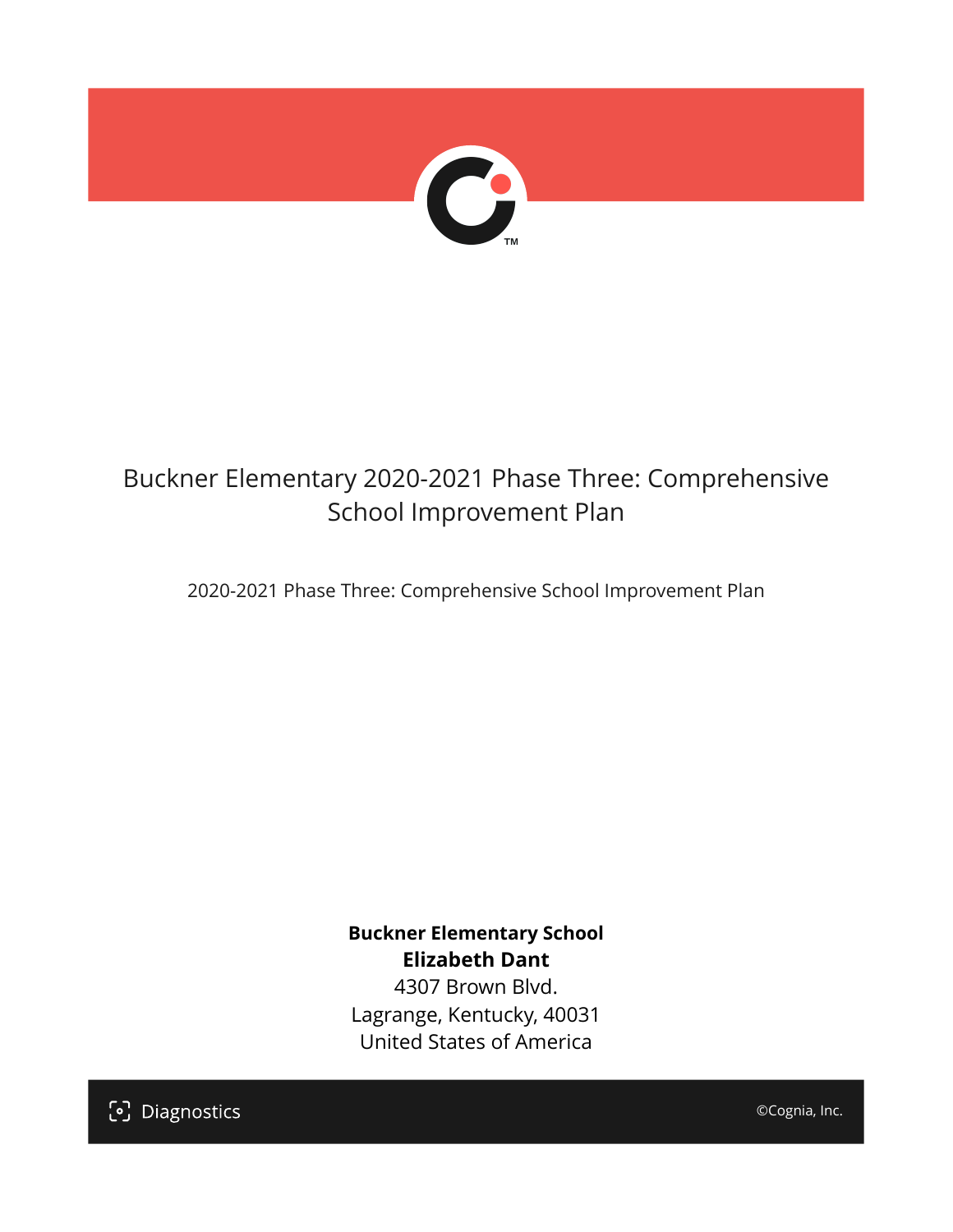

## Buckner Elementary 2020-2021 Phase Three: Comprehensive School Improvement Plan

2020-2021 Phase Three: Comprehensive School Improvement Plan

**Buckner Elementary School Elizabeth Dant** 4307 Brown Blvd. Lagrange, Kentucky, 40031

United States of America

[၁] Diagnostics

©Cognia, Inc.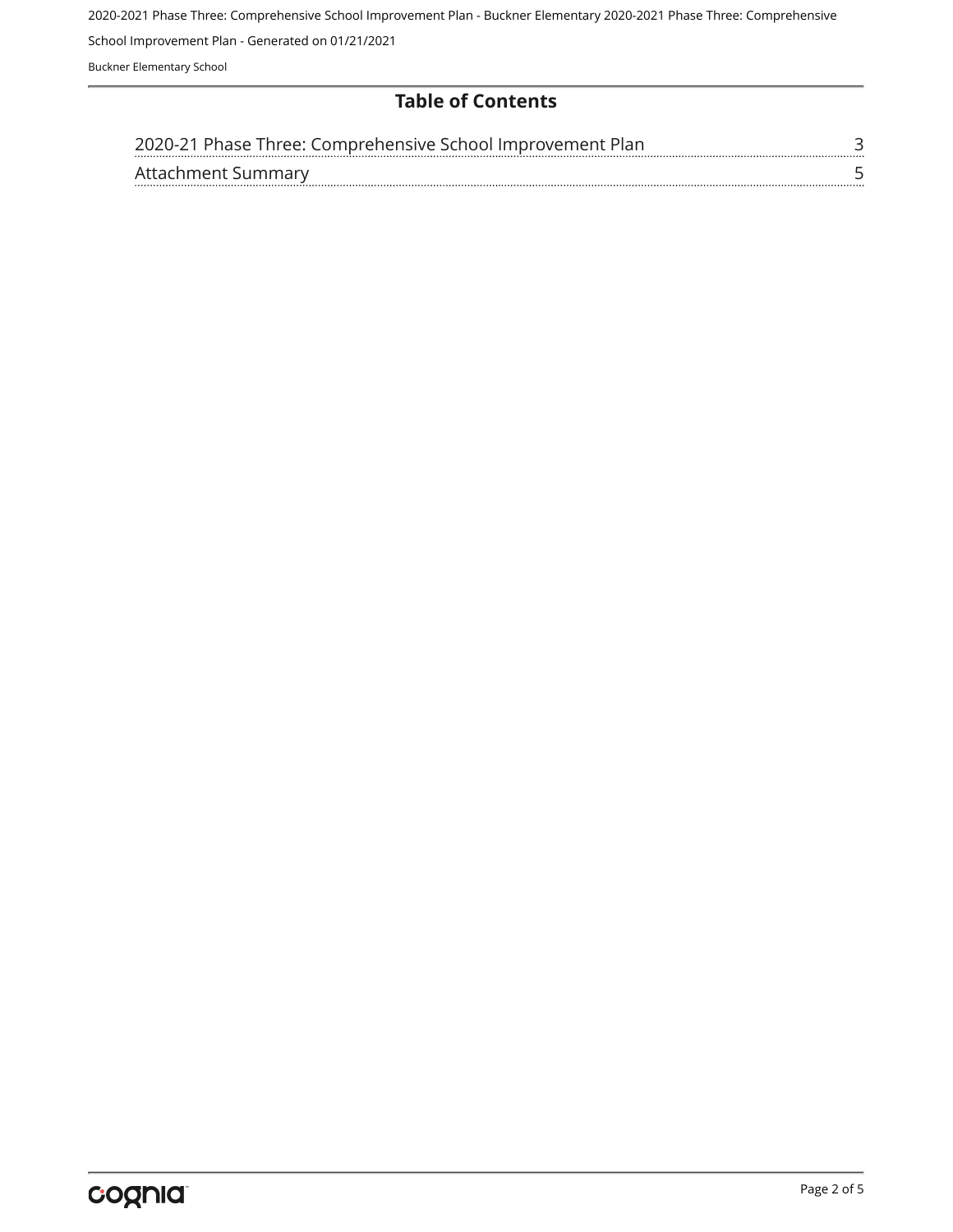2020-2021 Phase Three: Comprehensive School Improvement Plan - Buckner Elementary 2020-2021 Phase Three: Comprehensive School Improvement Plan - Generated on 01/21/2021 Buckner Elementary School

**Table of Contents**

| 2020-21 Phase Three: Comprehensive School Improvement Plan |  |
|------------------------------------------------------------|--|
| Attachment Summary                                         |  |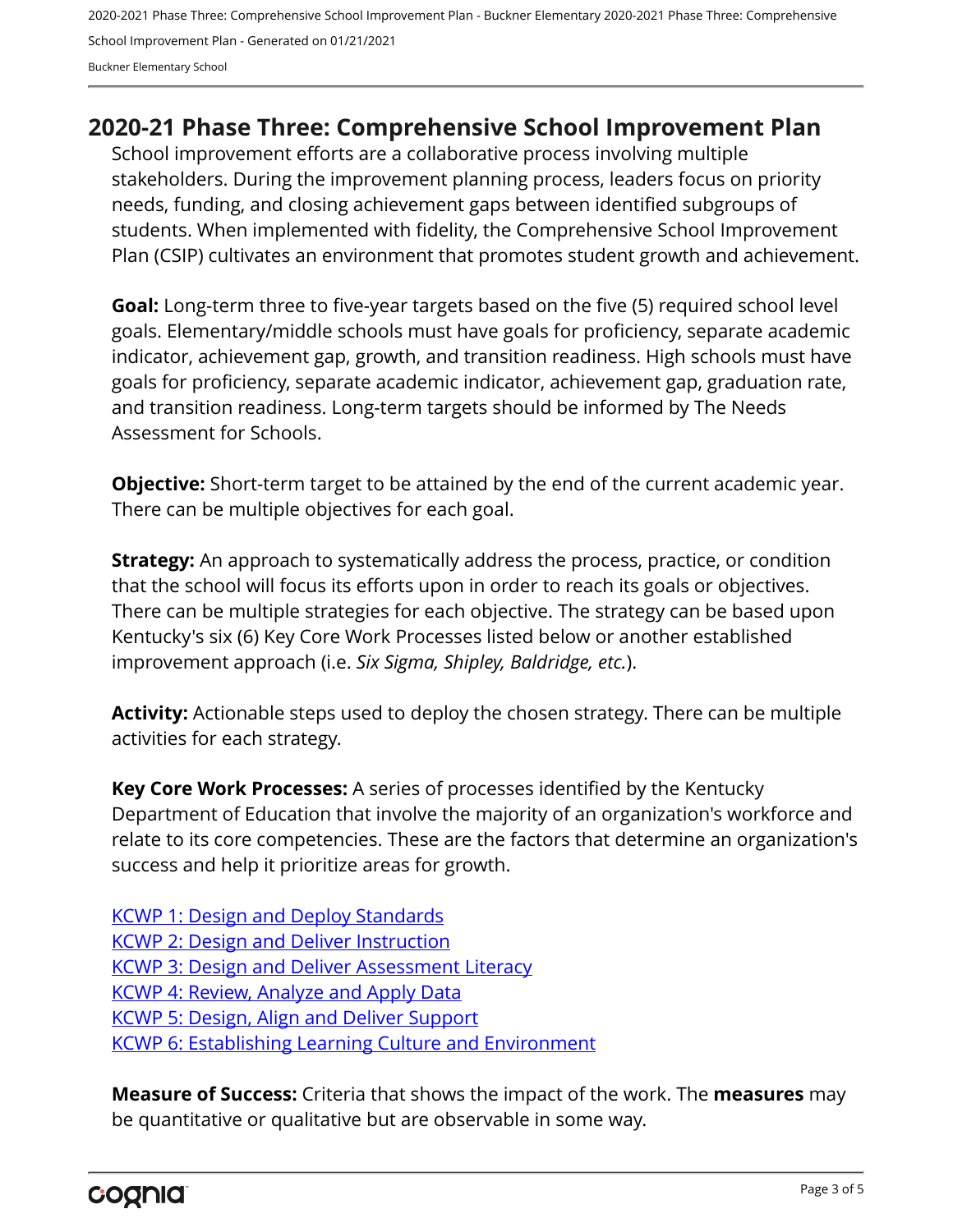2020-2021 Phase Three: Comprehensive School Improvement Plan - Buckner Elementary 2020-2021 Phase Three: Comprehensive School Improvement Plan - Generated on 01/21/2021 Buckner Elementary School

### <span id="page-2-0"></span>**2020-21 Phase Three: Comprehensive School Improvement Plan**

School improvement efforts are a collaborative process involving multiple stakeholders. During the improvement planning process, leaders focus on priority needs, funding, and closing achievement gaps between identified subgroups of students. When implemented with fidelity, the Comprehensive School Improvement Plan (CSIP) cultivates an environment that promotes student growth and achievement.

**Goal:** Long-term three to five-year targets based on the five (5) required school level goals. Elementary/middle schools must have goals for proficiency, separate academic indicator, achievement gap, growth, and transition readiness. High schools must have goals for proficiency, separate academic indicator, achievement gap, graduation rate, and transition readiness. Long-term targets should be informed by The Needs Assessment for Schools.

**Objective:** Short-term target to be attained by the end of the current academic year. There can be multiple objectives for each goal.

**Strategy:** An approach to systematically address the process, practice, or condition that the school will focus its efforts upon in order to reach its goals or objectives. There can be multiple strategies for each objective. The strategy can be based upon Kentucky's six (6) Key Core Work Processes listed below or another established improvement approach (i.e. *Six Sigma, Shipley, Baldridge, etc.*).

**Activity:** Actionable steps used to deploy the chosen strategy. There can be multiple activities for each strategy.

**Key Core Work Processes:** A series of processes identified by the Kentucky Department of Education that involve the majority of an organization's workforce and relate to its core competencies. These are the factors that determine an organization's success and help it prioritize areas for growth.

[KCWP 1: Design and Deploy Standards](https://education.ky.gov/school/csip/Documents/KCWP%201%20Strategic%20Design%20and%20Deploy%20Standards.pdf) [KCWP 2: Design and Deliver Instruction](https://education.ky.gov/school/csip/Documents/KCWP%202%20Strategic%20Design%20and%20Deliver%20Instruction.pdf) [KCWP 3: Design and Deliver Assessment Literacy](https://education.ky.gov/school/csip/Documents/KCWP%203%20Strategic%20Design%20and%20Deliver%20Assessment%20Literacy.pdf) [KCWP 4: Review, Analyze and Apply Data](https://education.ky.gov/school/csip/Documents/KCWP%204%20Strategic%20Review%20Analyze%20and%20Apply%20Data.pdf) [KCWP 5: Design, Align and Deliver Support](https://education.ky.gov/school/csip/Documents/KCWP%205%20Strategic%20Design%20Align%20Deliver%20Support%20Processes.pdf) [KCWP 6: Establishing Learning Culture and Environment](https://education.ky.gov/school/csip/Documents/KCWP%206%20Strategic%20Establish%20Learning%20Culture%20and%20Environment.pdf)

**Measure of Success:** Criteria that shows the impact of the work. The **measures** may be quantitative or qualitative but are observable in some way.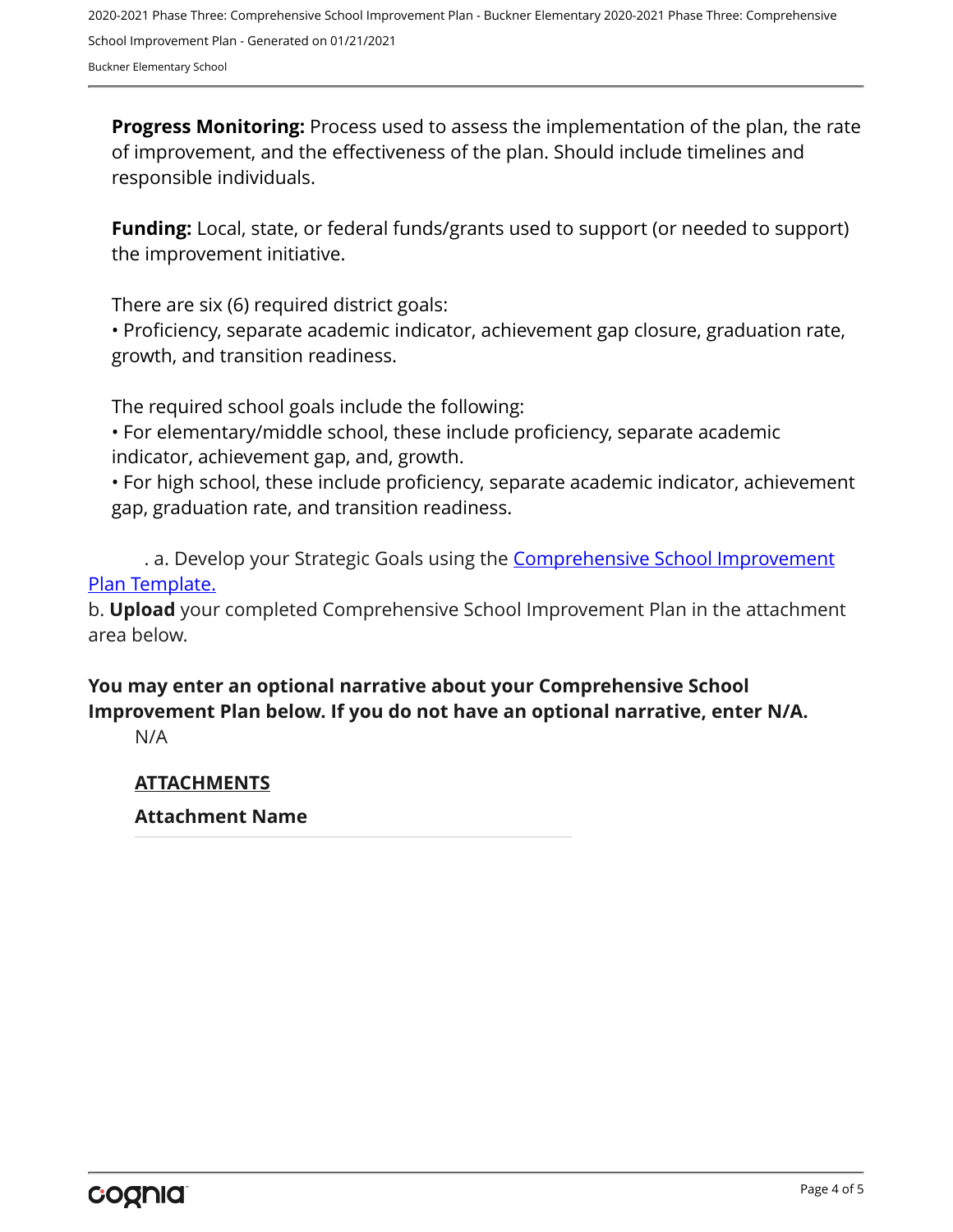2020-2021 Phase Three: Comprehensive School Improvement Plan - Buckner Elementary 2020-2021 Phase Three: Comprehensive School Improvement Plan - Generated on 01/21/2021 Buckner Elementary School

**Progress Monitoring:** Process used to assess the implementation of the plan, the rate of improvement, and the effectiveness of the plan. Should include timelines and responsible individuals.

**Funding:** Local, state, or federal funds/grants used to support (or needed to support) the improvement initiative.

There are six (6) required district goals:

• Proficiency, separate academic indicator, achievement gap closure, graduation rate, growth, and transition readiness.

The required school goals include the following:

• For elementary/middle school, these include proficiency, separate academic indicator, achievement gap, and, growth.

• For high school, these include proficiency, separate academic indicator, achievement gap, graduation rate, and transition readiness.

. a. Develop your Strategic Goals using the **[Comprehensive School Improvement](https://education.ky.gov/school/csip/Documents/KDE%20Comprehensive%20Improvement%20Plan%20for%20School.docx)** [Plan Template.](https://education.ky.gov/school/csip/Documents/KDE%20Comprehensive%20Improvement%20Plan%20for%20School.docx)

b. **Upload** your completed Comprehensive School Improvement Plan in the attachment area below.

#### **You may enter an optional narrative about your Comprehensive School Improvement Plan below. If you do not have an optional narrative, enter N/A.**

N/A

#### **ATTACHMENTS**

#### **Attachment Name**